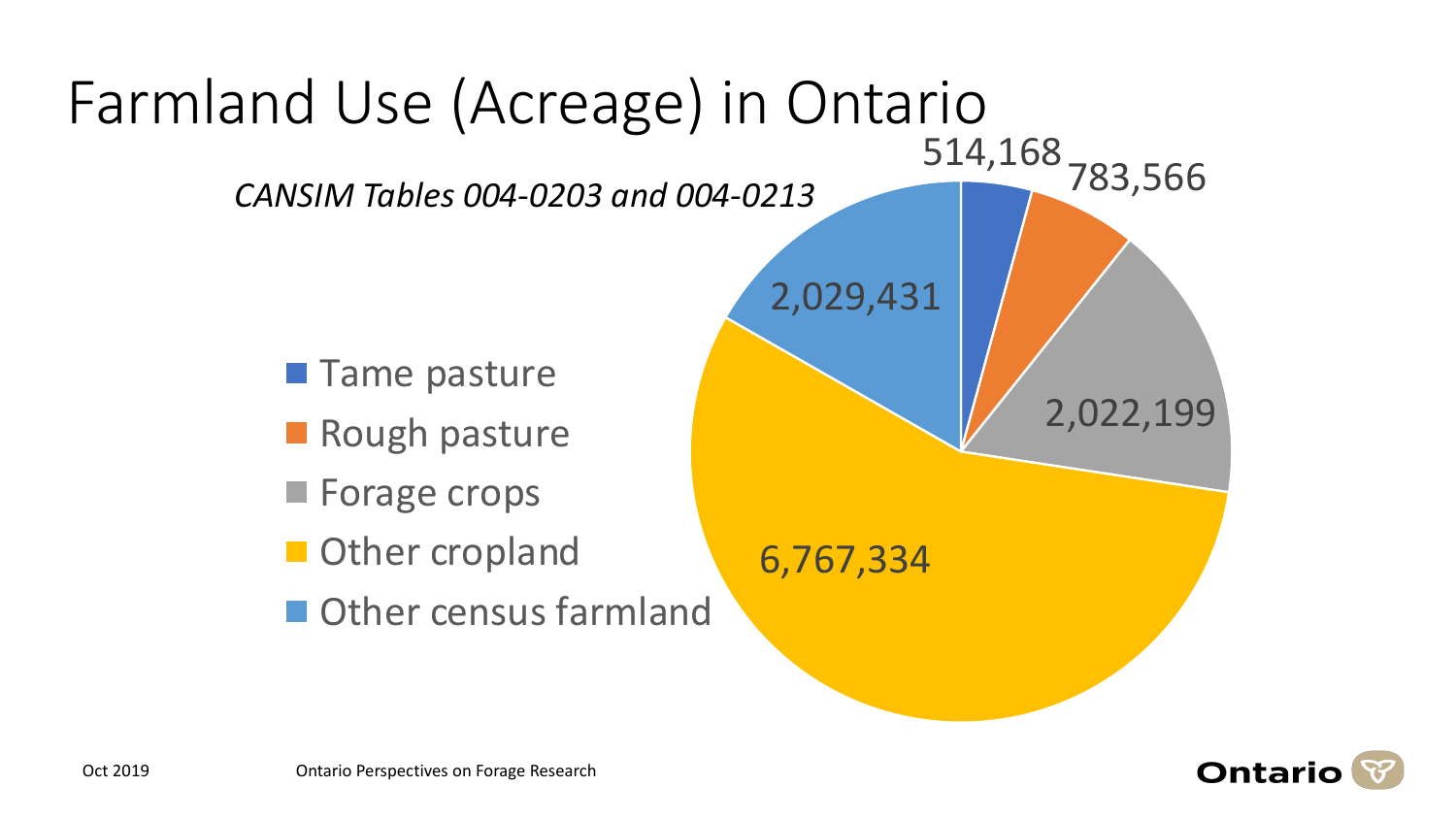

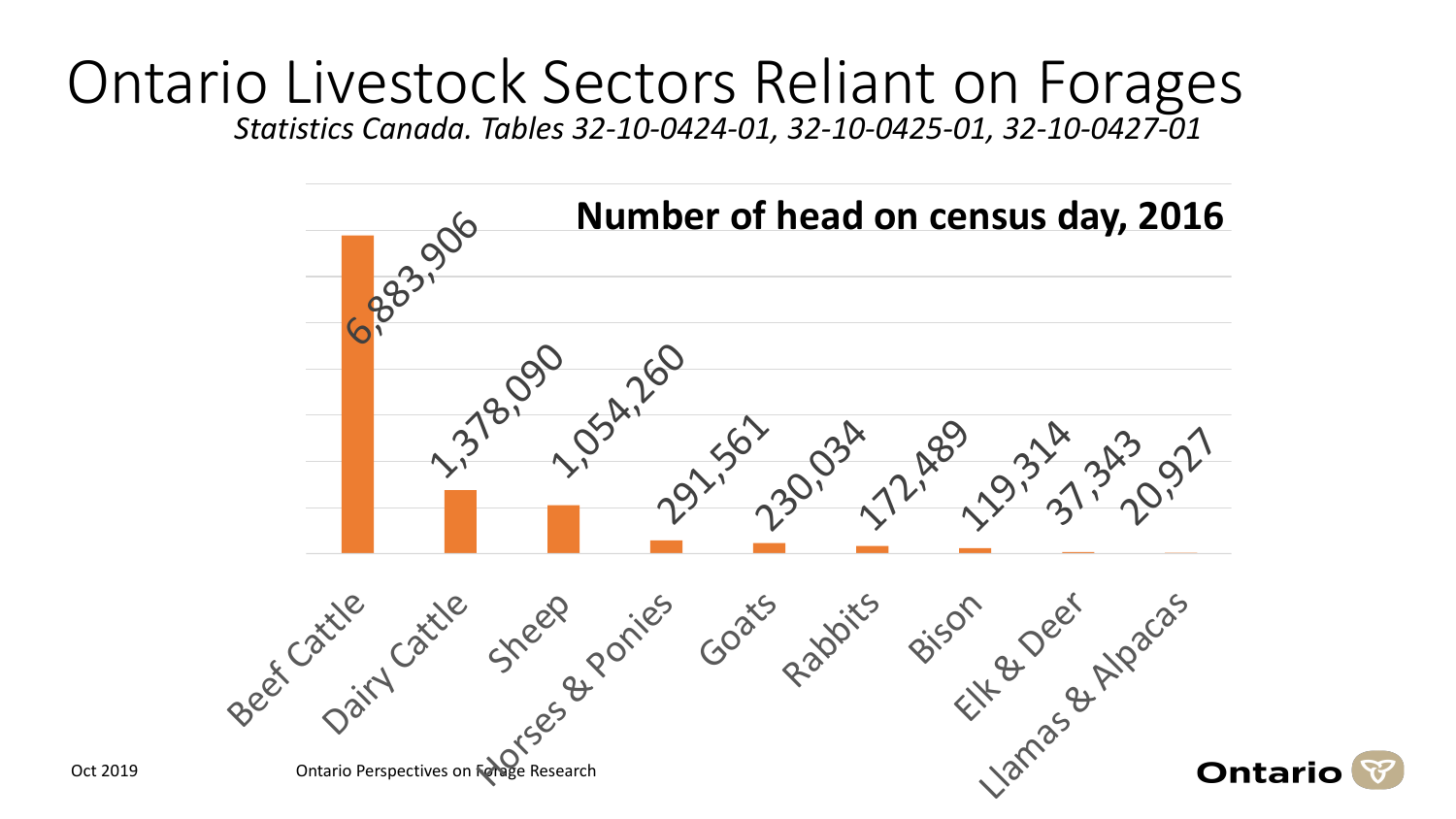## Ontario Livestock Sectors Reliant on Forages *Statistics Canada. Tables 32-10-0424-01, 32-10-0425-01, 32-10-0427-01*

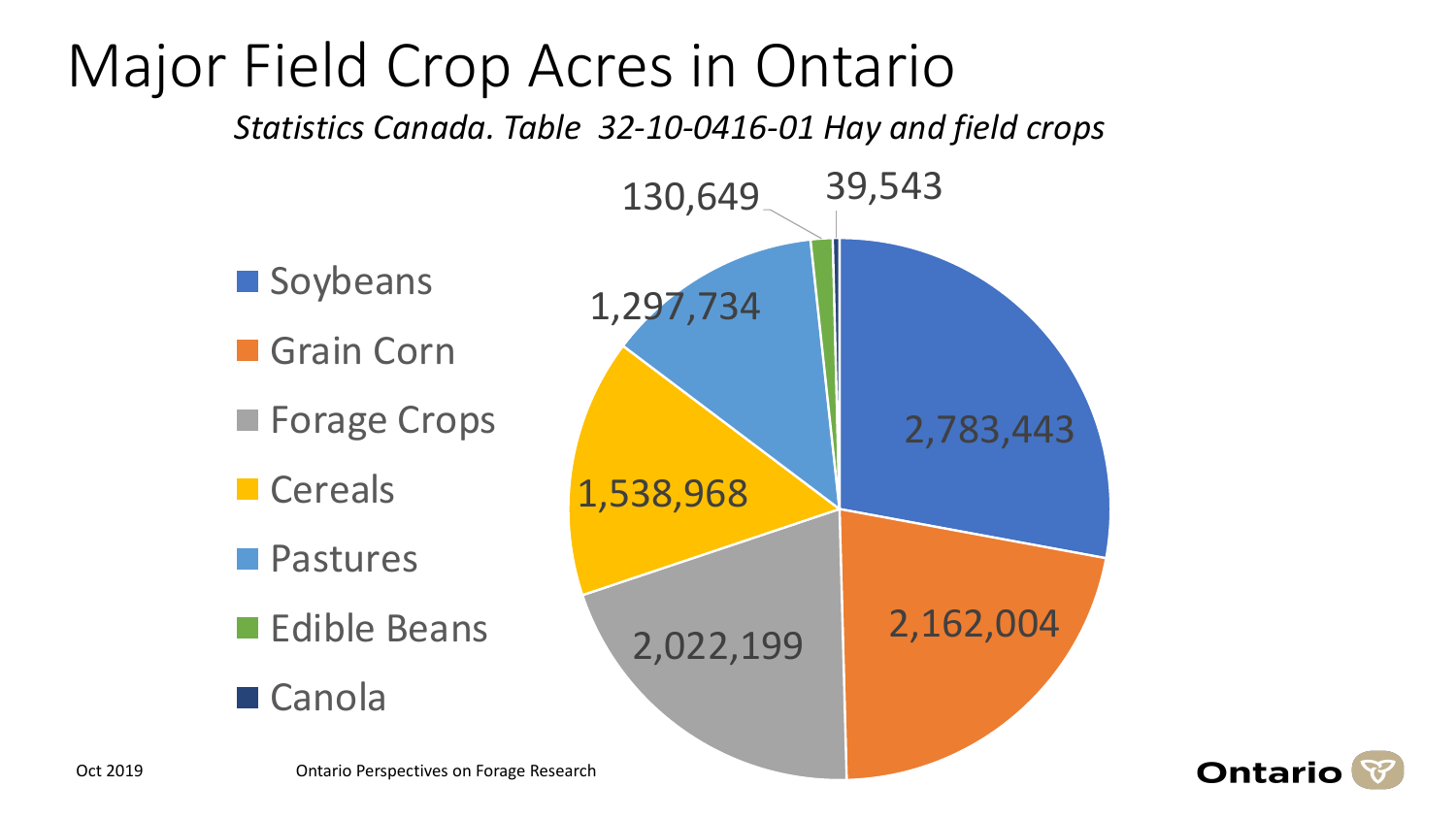## 2,783,443 1,297,734 130,649 39,543 **Soybeans** Grain Corn **Forage Crops** Major Field Crop Acres in Ontario *Statistics Canada. Table 32-10-0416-01 Hay and field crops*

2,022,199 2,162,004 1,538,968 **Cereals Pastures Edible Beans** ■ Canola